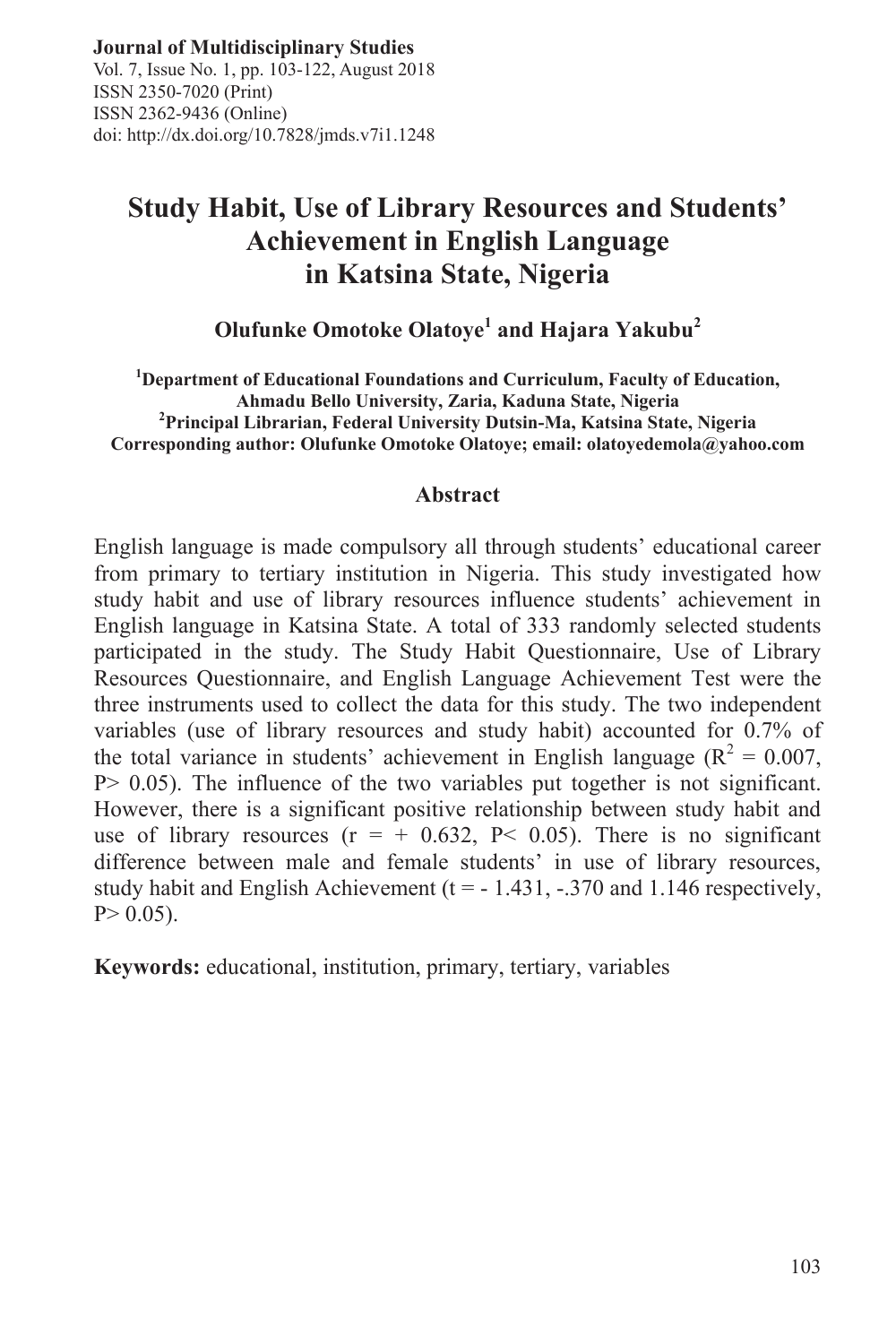Vol. 7, Issue No. 1, pp. 103-122, August 2018 ISSN 2350-7020 (Print) ISSN 2362-9436 (Online) ISSN 2362-9436 (Online)<br>doi: http://dx.doi.org/10.7828/jmds.v7i1.1248

# **Study Habit, Use of Library Resources and Students' Achievement in English Language in Katsina State, Nigeria**

**Olufunke Omotoke Olatoye<sup>1</sup> and Hajara Yakubu<sup>2</sup>**

**1 Department of Educational Foundations and Curriculum, Faculty of Education, Ahmadu Bello University, Zaria, Kaduna State, Nigeria <sup>2</sup> Principal Librarian, Federal University Dutsin-Ma, Katsina State, Nigeria Corresponding author: Olufunke Omotoke Olatoye; email: olatoyedemola@yahoo.com**

#### **Abstract**

English language is made compulsory all through students' educational career from primary to tertiary institution in Nigeria. This study investigated how study habit and use of library resources influence students' achievement in English language in Katsina State. A total of 333 randomly selected students participated in the study. The Study Habit Questionnaire, Use of Library Resources Questionnaire, and English Language Achievement Test were the three instruments used to collect the data for this study. The two independent variables (use of library resources and study habit) accounted for 0.7% of the total variance in students' achievement in English language ( $R^2 = 0.007$ , P> 0.05). The influence of the two variables put together is not significant. However, there is a significant positive relationship between study habit and use of library resources  $(r = +0.632, P < 0.05)$ . There is no significant difference between male and female students' in use of library resources, study habit and English Achievement ( $t = -1.431, -0.370$  and 1.146 respectively,  $P > 0.05$ ).

**Keywords:** educational, institution, primary, tertiary, variables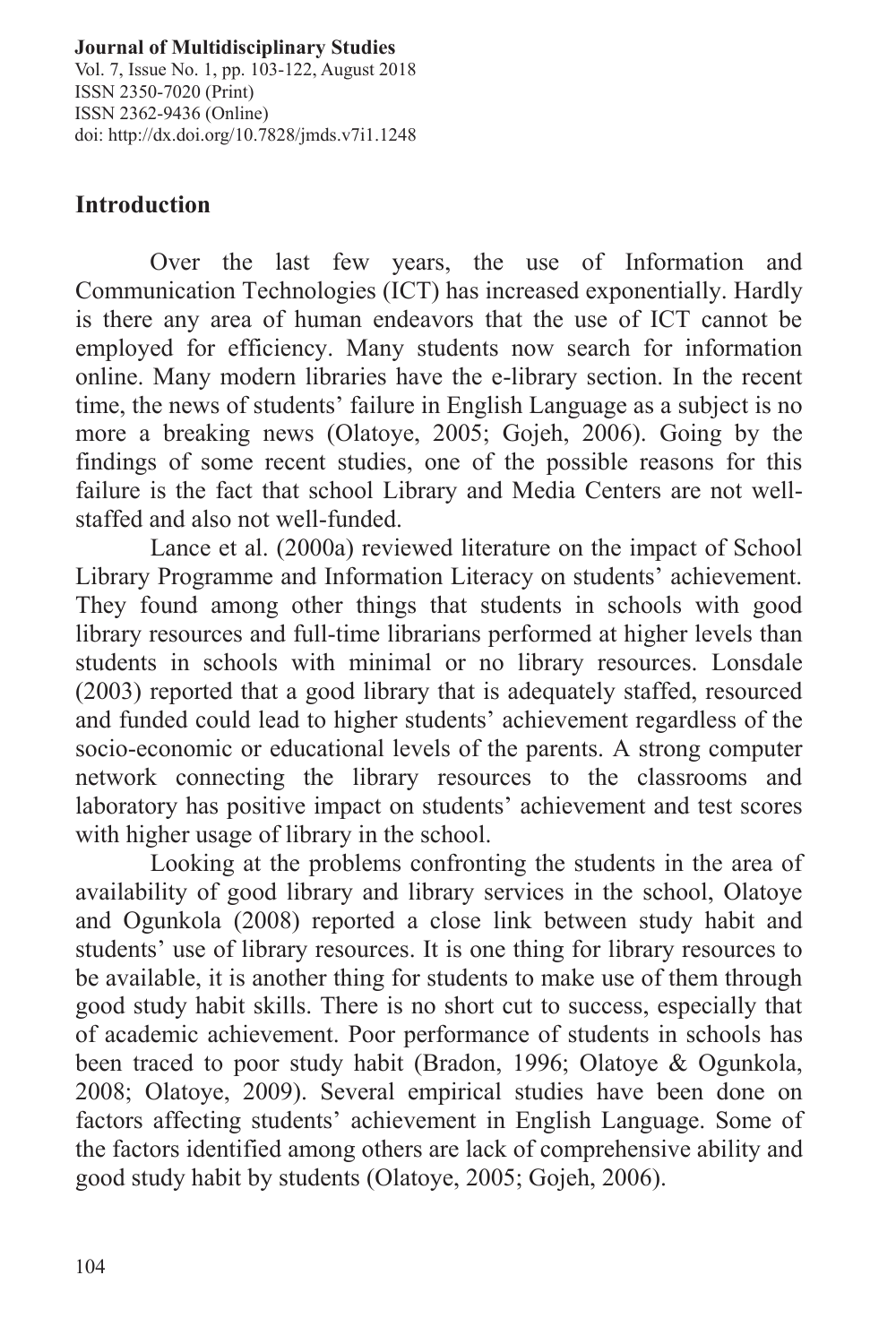Vol. 7, Issue No. 1, pp. 103-122, August 2018 ISSN 2350-7020 (Print) ISSN 2362-9436 (Online) doi: http://dx.doi.org/10.7828/jmds.v7i1.1248

# **Introduction**

Over the last few years, the use of Information and Communication Technologies (ICT) has increased exponentially. Hardly is there any area of human endeavors that the use of ICT cannot be employed for efficiency. Many students now search for information online. Many modern libraries have the e-library section. In the recent time, the news of students' failure in English Language as a subject is no more a breaking news (Olatoye, 2005; Gojeh, 2006). Going by the findings of some recent studies, one of the possible reasons for this failure is the fact that school Library and Media Centers are not wellstaffed and also not well-funded.

Lance et al. (2000a) reviewed literature on the impact of School Library Programme and Information Literacy on students' achievement. They found among other things that students in schools with good library resources and full-time librarians performed at higher levels than students in schools with minimal or no library resources. Lonsdale (2003) reported that a good library that is adequately staffed, resourced and funded could lead to higher students' achievement regardless of the socio-economic or educational levels of the parents. A strong computer network connecting the library resources to the classrooms and laboratory has positive impact on students' achievement and test scores with higher usage of library in the school.

Looking at the problems confronting the students in the area of availability of good library and library services in the school, Olatoye and Ogunkola (2008) reported a close link between study habit and students' use of library resources. It is one thing for library resources to be available, it is another thing for students to make use of them through good study habit skills. There is no short cut to success, especially that of academic achievement. Poor performance of students in schools has been traced to poor study habit (Bradon, 1996; Olatoye & Ogunkola, 2008; Olatoye, 2009). Several empirical studies have been done on factors affecting students' achievement in English Language. Some of the factors identified among others are lack of comprehensive ability and good study habit by students (Olatoye, 2005; Gojeh, 2006).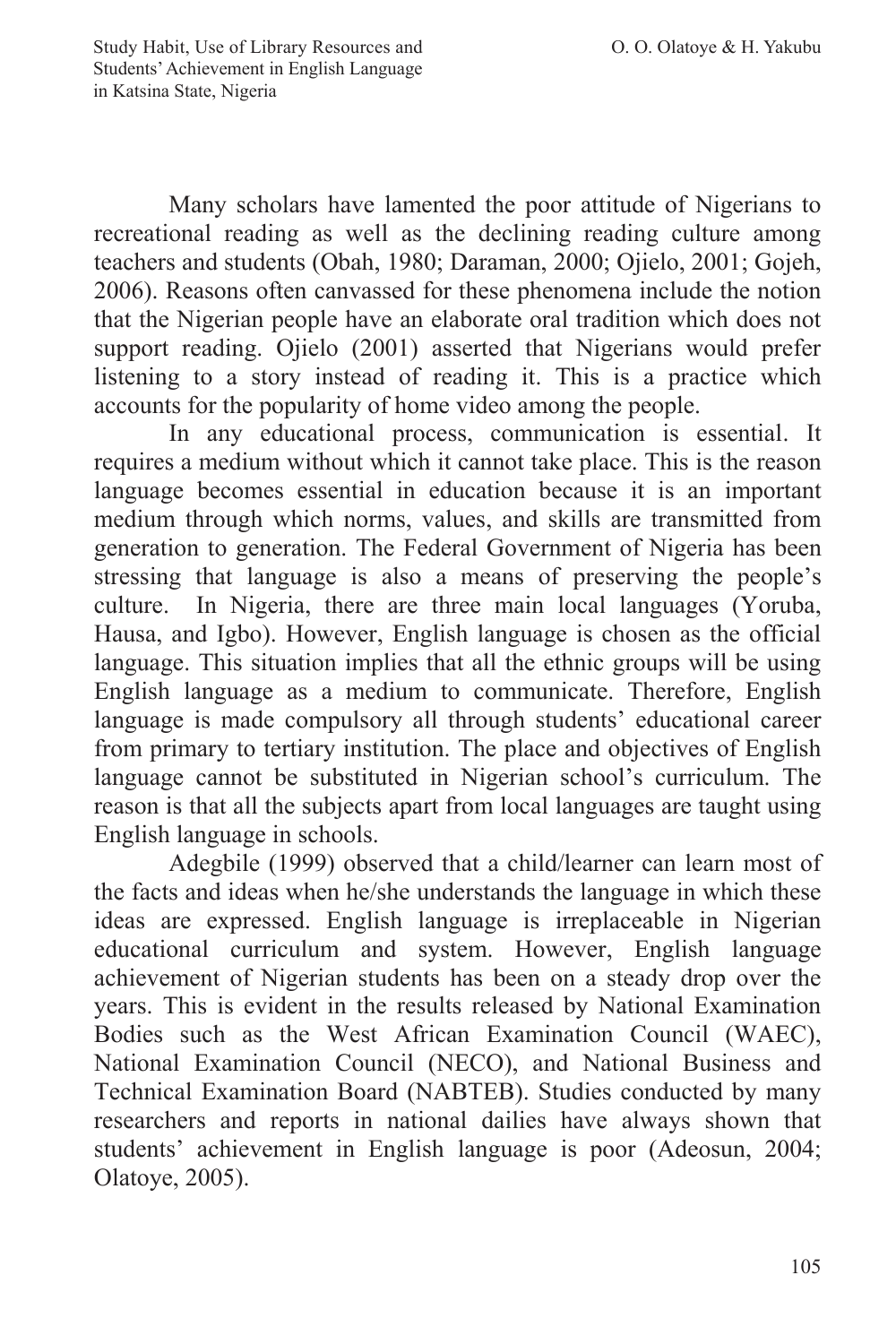Many scholars have lamented the poor attitude of Nigerians to recreational reading as well as the declining reading culture among teachers and students (Obah, 1980; Daraman, 2000; Ojielo, 2001; Gojeh, 2006). Reasons often canvassed for these phenomena include the notion that the Nigerian people have an elaborate oral tradition which does not support reading. Ojielo (2001) asserted that Nigerians would prefer listening to a story instead of reading it. This is a practice which accounts for the popularity of home video among the people.

In any educational process, communication is essential. It requires a medium without which it cannot take place. This is the reason language becomes essential in education because it is an important medium through which norms, values, and skills are transmitted from generation to generation. The Federal Government of Nigeria has been stressing that language is also a means of preserving the people's culture. In Nigeria, there are three main local languages (Yoruba, Hausa, and Igbo). However, English language is chosen as the official language. This situation implies that all the ethnic groups will be using English language as a medium to communicate. Therefore, English language is made compulsory all through students' educational career from primary to tertiary institution. The place and objectives of English language cannot be substituted in Nigerian school's curriculum. The reason is that all the subjects apart from local languages are taught using English language in schools.

Adegbile (1999) observed that a child/learner can learn most of the facts and ideas when he/she understands the language in which these ideas are expressed. English language is irreplaceable in Nigerian educational curriculum and system. However, English language achievement of Nigerian students has been on a steady drop over the years. This is evident in the results released by National Examination Bodies such as the West African Examination Council (WAEC), National Examination Council (NECO), and National Business and Technical Examination Board (NABTEB). Studies conducted by many researchers and reports in national dailies have always shown that students' achievement in English language is poor (Adeosun, 2004; Olatoye, 2005).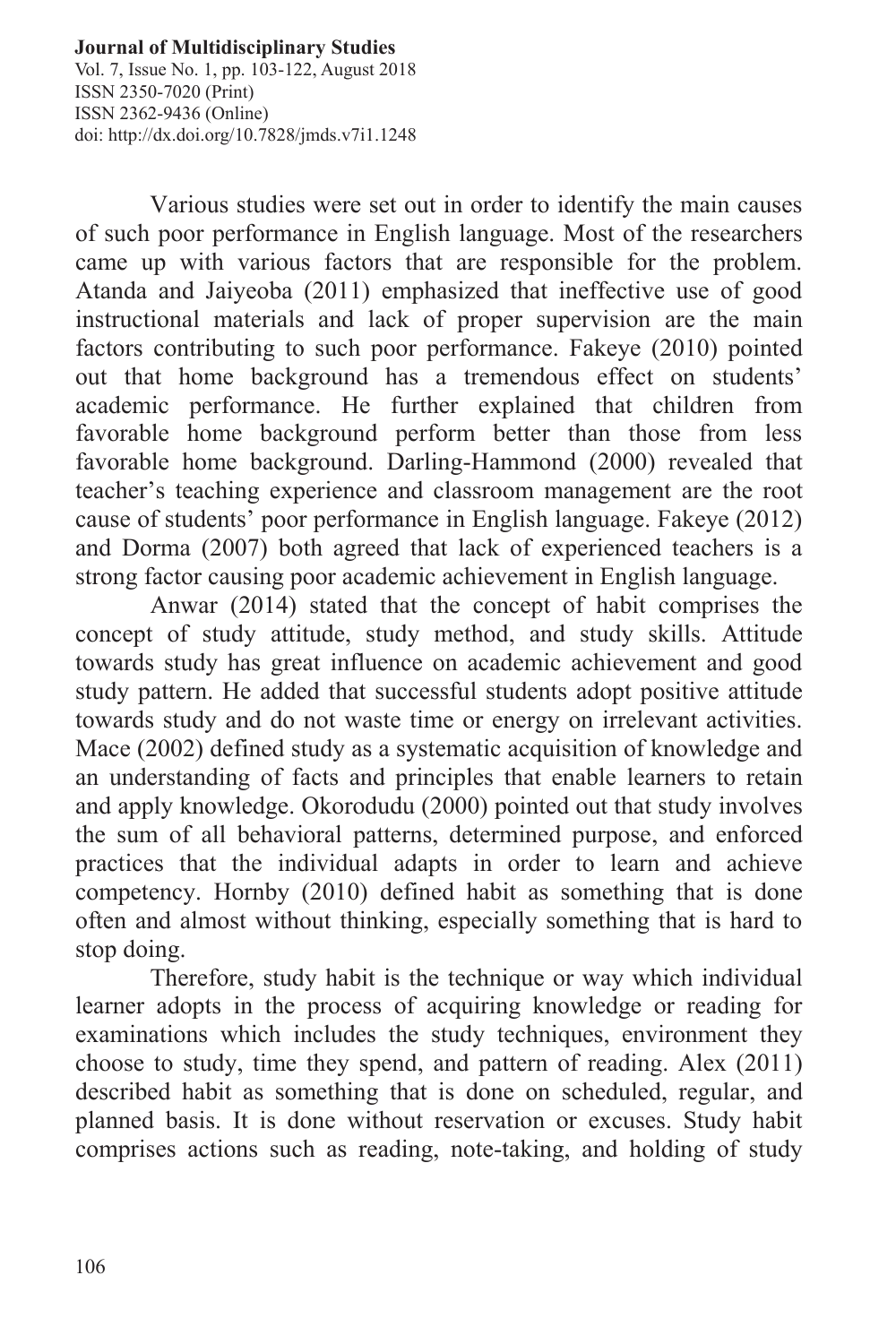Vol. 7, Issue No. 1, pp. 103-122, August 2018 ISSN 2350-7020 (Print) ISSN 2362-9436 (Online) doi: http://dx.doi.org/10.7828/jmds.v7i1.1248

Various studies were set out in order to identify the main causes of such poor performance in English language. Most of the researchers came up with various factors that are responsible for the problem. Atanda and Jaiyeoba (2011) emphasized that ineffective use of good instructional materials and lack of proper supervision are the main factors contributing to such poor performance. Fakeye (2010) pointed out that home background has a tremendous effect on students' academic performance. He further explained that children from favorable home background perform better than those from less favorable home background. Darling-Hammond (2000) revealed that teacher's teaching experience and classroom management are the root cause of students' poor performance in English language. Fakeye (2012) and Dorma (2007) both agreed that lack of experienced teachers is a strong factor causing poor academic achievement in English language.

Anwar (2014) stated that the concept of habit comprises the concept of study attitude, study method, and study skills. Attitude towards study has great influence on academic achievement and good study pattern. He added that successful students adopt positive attitude towards study and do not waste time or energy on irrelevant activities. Mace (2002) defined study as a systematic acquisition of knowledge and an understanding of facts and principles that enable learners to retain and apply knowledge. Okorodudu (2000) pointed out that study involves the sum of all behavioral patterns, determined purpose, and enforced practices that the individual adapts in order to learn and achieve competency. Hornby (2010) defined habit as something that is done often and almost without thinking, especially something that is hard to stop doing.

Therefore, study habit is the technique or way which individual learner adopts in the process of acquiring knowledge or reading for examinations which includes the study techniques, environment they choose to study, time they spend, and pattern of reading. Alex (2011) described habit as something that is done on scheduled, regular, and planned basis. It is done without reservation or excuses. Study habit comprises actions such as reading, note-taking, and holding of study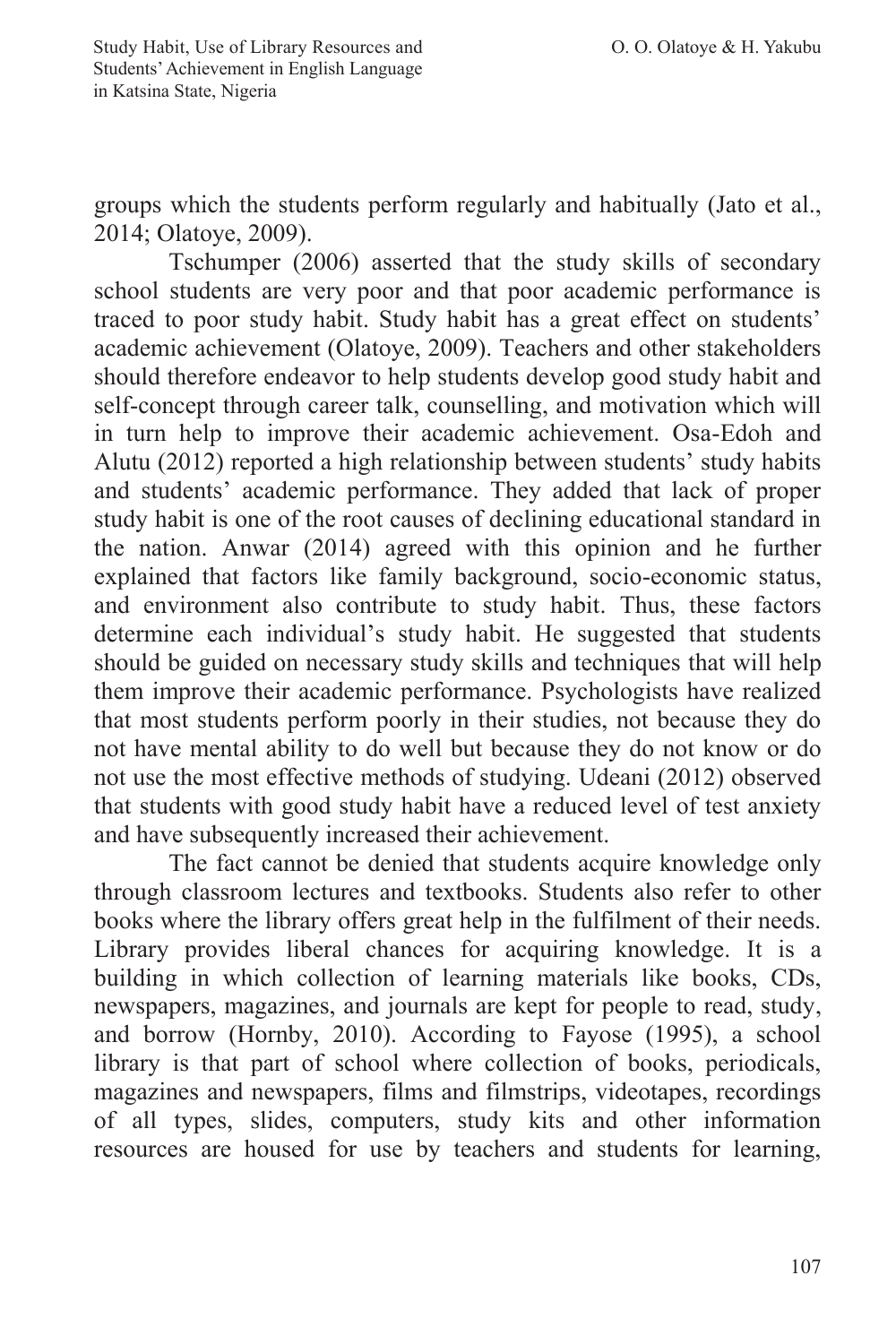groups which the students perform regularly and habitually (Jato et al., 2014; Olatoye, 2009).

Tschumper (2006) asserted that the study skills of secondary school students are very poor and that poor academic performance is traced to poor study habit. Study habit has a great effect on students' academic achievement (Olatoye, 2009). Teachers and other stakeholders should therefore endeavor to help students develop good study habit and self-concept through career talk, counselling, and motivation which will in turn help to improve their academic achievement. Osa-Edoh and Alutu (2012) reported a high relationship between students' study habits and students' academic performance. They added that lack of proper study habit is one of the root causes of declining educational standard in the nation. Anwar (2014) agreed with this opinion and he further explained that factors like family background, socio-economic status, and environment also contribute to study habit. Thus, these factors determine each individual's study habit. He suggested that students should be guided on necessary study skills and techniques that will help them improve their academic performance. Psychologists have realized that most students perform poorly in their studies, not because they do not have mental ability to do well but because they do not know or do not use the most effective methods of studying. Udeani (2012) observed that students with good study habit have a reduced level of test anxiety and have subsequently increased their achievement.

The fact cannot be denied that students acquire knowledge only through classroom lectures and textbooks. Students also refer to other books where the library offers great help in the fulfilment of their needs. Library provides liberal chances for acquiring knowledge. It is a building in which collection of learning materials like books, CDs, newspapers, magazines, and journals are kept for people to read, study, and borrow (Hornby, 2010). According to Fayose (1995), a school library is that part of school where collection of books, periodicals, magazines and newspapers, films and filmstrips, videotapes, recordings of all types, slides, computers, study kits and other information resources are housed for use by teachers and students for learning,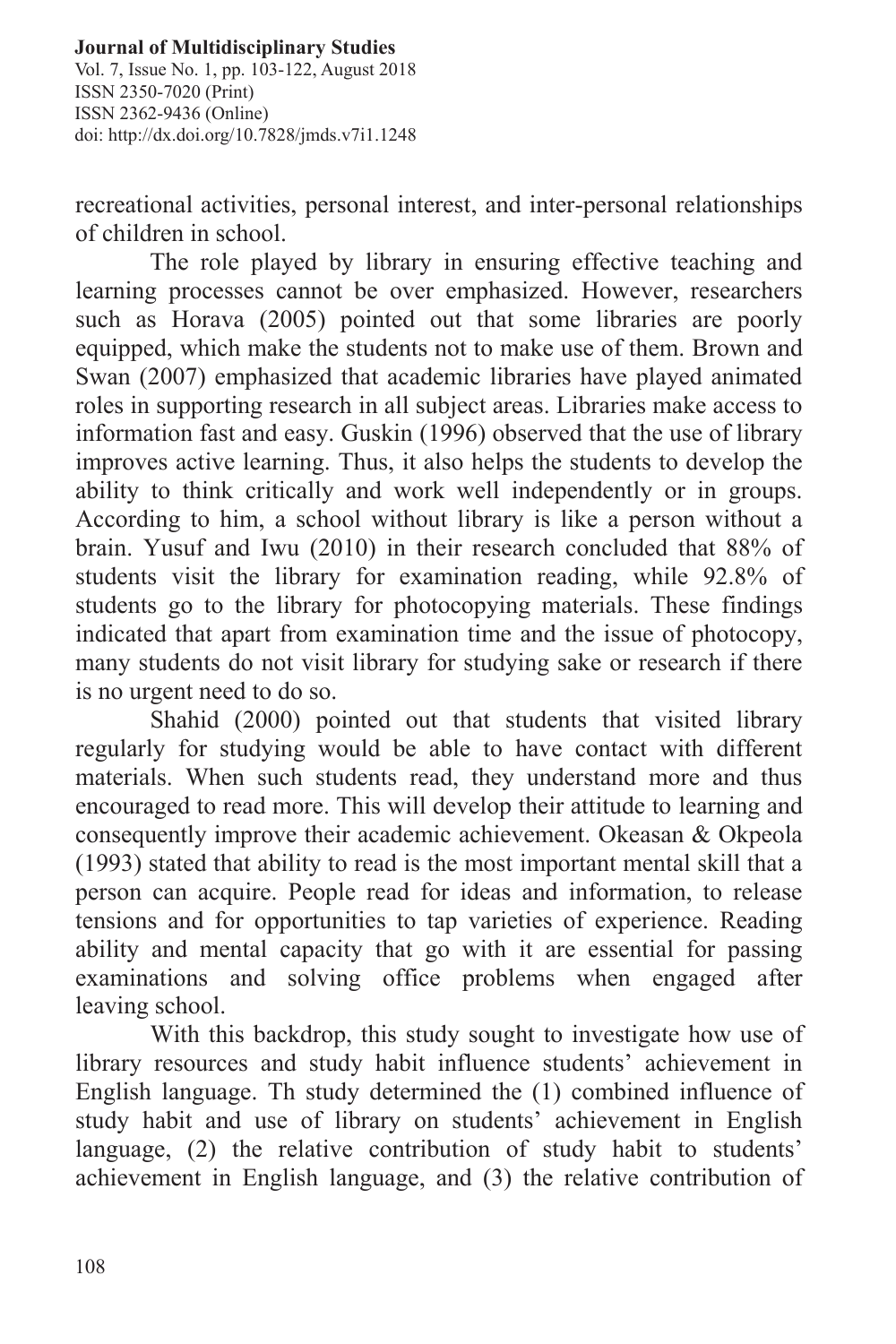#### **Journal of Multidisciplinary Studies** Vol. 7, Issue No. 1, pp. 103-122, August 2018 ISSN 2350-7020 (Print) ISSN 2362-9436 (Online) doi: http://dx.doi.org/10.7828/jmds.v7i1.1248

recreational activities, personal interest, and inter-personal relationships of children in school.

The role played by library in ensuring effective teaching and learning processes cannot be over emphasized. However, researchers such as Horava (2005) pointed out that some libraries are poorly equipped, which make the students not to make use of them. Brown and Swan (2007) emphasized that academic libraries have played animated roles in supporting research in all subject areas. Libraries make access to information fast and easy. Guskin (1996) observed that the use of library improves active learning. Thus, it also helps the students to develop the ability to think critically and work well independently or in groups. According to him, a school without library is like a person without a brain. Yusuf and Iwu (2010) in their research concluded that 88% of students visit the library for examination reading, while 92.8% of students go to the library for photocopying materials. These findings indicated that apart from examination time and the issue of photocopy, many students do not visit library for studying sake or research if there is no urgent need to do so.

Shahid (2000) pointed out that students that visited library regularly for studying would be able to have contact with different materials. When such students read, they understand more and thus encouraged to read more. This will develop their attitude to learning and consequently improve their academic achievement. Okeasan & Okpeola (1993) stated that ability to read is the most important mental skill that a person can acquire. People read for ideas and information, to release tensions and for opportunities to tap varieties of experience. Reading ability and mental capacity that go with it are essential for passing examinations and solving office problems when engaged after leaving school.

With this backdrop, this study sought to investigate how use of library resources and study habit influence students' achievement in English language. Th study determined the (1) combined influence of study habit and use of library on students' achievement in English language, (2) the relative contribution of study habit to students' achievement in English language, and (3) the relative contribution of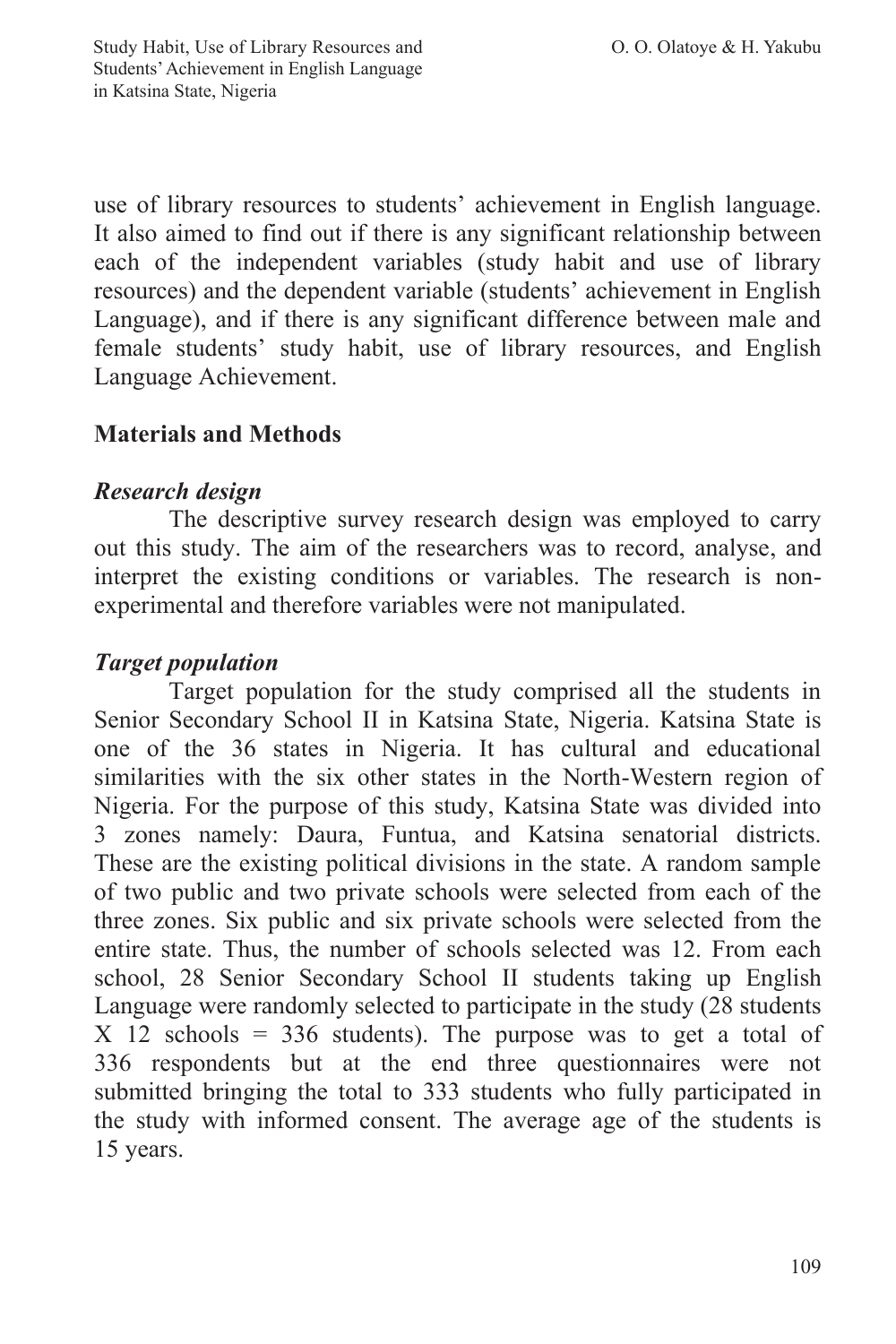use of library resources to students' achievement in English language. It also aimed to find out if there is any significant relationship between each of the independent variables (study habit and use of library resources) and the dependent variable (students' achievement in English Language), and if there is any significant difference between male and female students' study habit, use of library resources, and English Language Achievement.

# **Materials and Methods**

# *Research design*

The descriptive survey research design was employed to carry out this study. The aim of the researchers was to record, analyse, and interpret the existing conditions or variables. The research is nonexperimental and therefore variables were not manipulated.

# *Target population*

Target population for the study comprised all the students in Senior Secondary School II in Katsina State, Nigeria. Katsina State is one of the 36 states in Nigeria. It has cultural and educational similarities with the six other states in the North-Western region of Nigeria. For the purpose of this study, Katsina State was divided into 3 zones namely: Daura, Funtua, and Katsina senatorial districts. These are the existing political divisions in the state. A random sample of two public and two private schools were selected from each of the three zones. Six public and six private schools were selected from the entire state. Thus, the number of schools selected was 12. From each school, 28 Senior Secondary School II students taking up English Language were randomly selected to participate in the study (28 students  $X$  12 schools = 336 students). The purpose was to get a total of 336 respondents but at the end three questionnaires were not submitted bringing the total to 333 students who fully participated in the study with informed consent. The average age of the students is 15 years.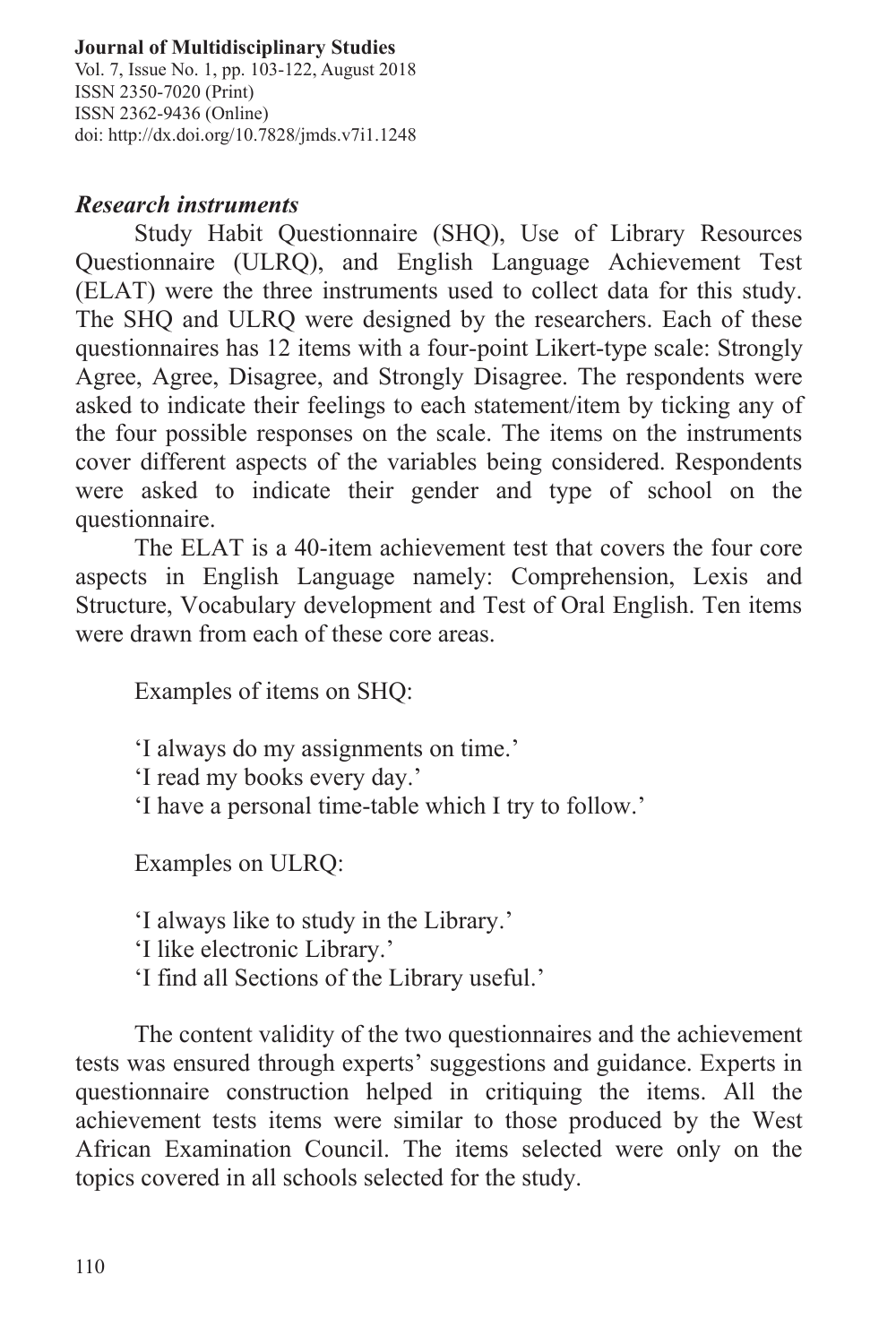Vol. 7, Issue No. 1, pp. 103-122, August 2018 ISSN 2350-7020 (Print) ISSN 2362-9436 (Online) doi: http://dx.doi.org/10.7828/jmds.v7i1.1248

# *Research instruments*

Study Habit Questionnaire (SHQ), Use of Library Resources Questionnaire (ULRQ), and English Language Achievement Test (ELAT) were the three instruments used to collect data for this study. The SHQ and ULRQ were designed by the researchers. Each of these questionnaires has 12 items with a four-point Likert-type scale: Strongly Agree, Agree, Disagree, and Strongly Disagree. The respondents were asked to indicate their feelings to each statement/item by ticking any of the four possible responses on the scale. The items on the instruments cover different aspects of the variables being considered. Respondents were asked to indicate their gender and type of school on the questionnaire.

The ELAT is a 40-item achievement test that covers the four core aspects in English Language namely: Comprehension, Lexis and Structure, Vocabulary development and Test of Oral English. Ten items were drawn from each of these core areas.

Examples of items on SHQ:

'I always do my assignments on time.'

'I read my books every day.'

'I have a personal time-table which I try to follow.'

Examples on ULRQ:

'I always like to study in the Library.'

'I like electronic Library.'

'I find all Sections of the Library useful.'

The content validity of the two questionnaires and the achievement tests was ensured through experts' suggestions and guidance. Experts in questionnaire construction helped in critiquing the items. All the achievement tests items were similar to those produced by the West African Examination Council. The items selected were only on the topics covered in all schools selected for the study.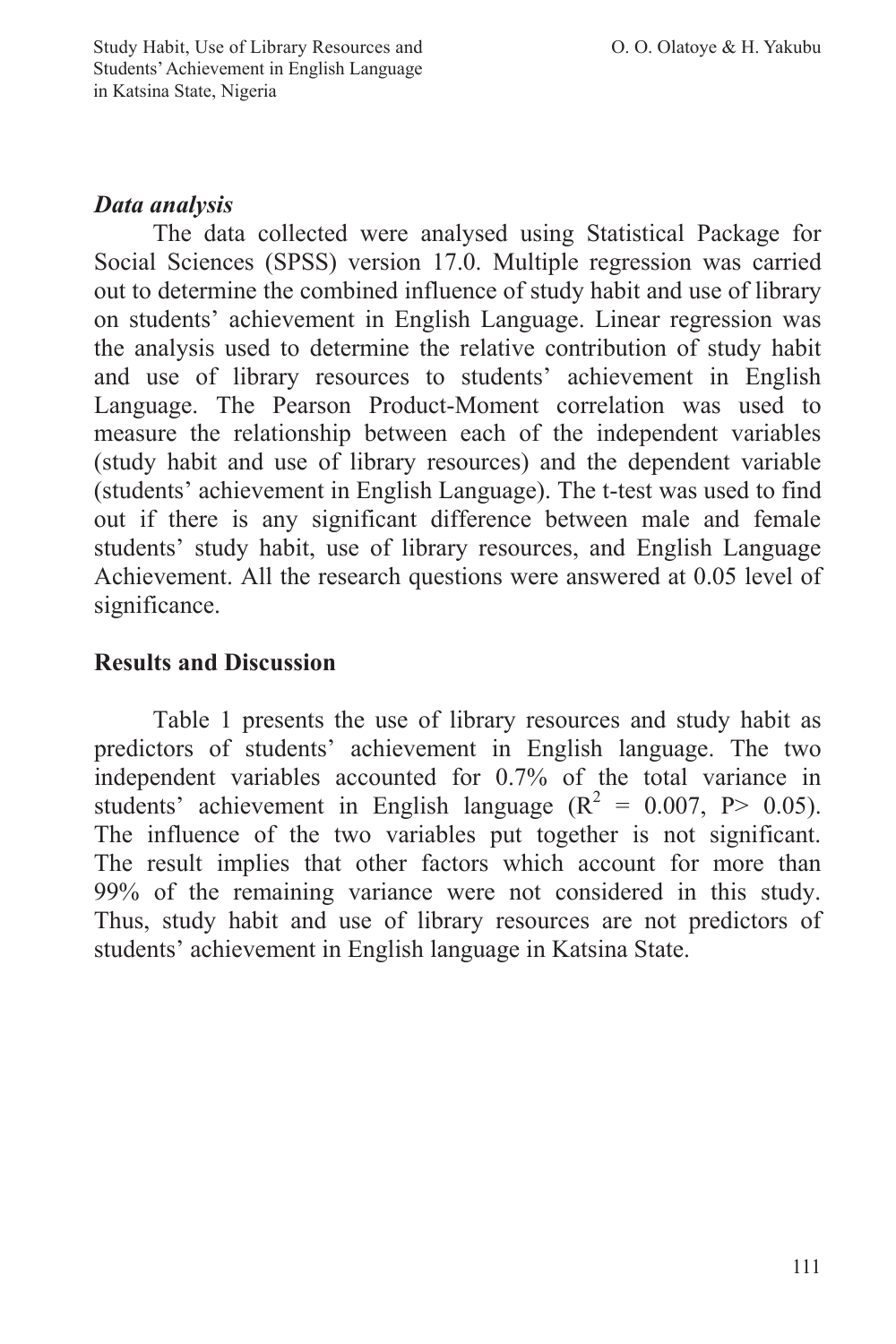# *Data analysis*

The data collected were analysed using Statistical Package for Social Sciences (SPSS) version 17.0. Multiple regression was carried out to determine the combined influence of study habit and use of library on students' achievement in English Language. Linear regression was the analysis used to determine the relative contribution of study habit and use of library resources to students' achievement in English Language. The Pearson Product-Moment correlation was used to measure the relationship between each of the independent variables (study habit and use of library resources) and the dependent variable (students' achievement in English Language). The t-test was used to find out if there is any significant difference between male and female students' study habit, use of library resources, and English Language Achievement. All the research questions were answered at 0.05 level of significance.

# **Results and Discussion**

Table 1 presents the use of library resources and study habit as predictors of students' achievement in English language. The two independent variables accounted for 0.7% of the total variance in students' achievement in English language ( $R^2 = 0.007$ ,  $P > 0.05$ ). The influence of the two variables put together is not significant. The result implies that other factors which account for more than 99% of the remaining variance were not considered in this study. Thus, study habit and use of library resources are not predictors of students' achievement in English language in Katsina State.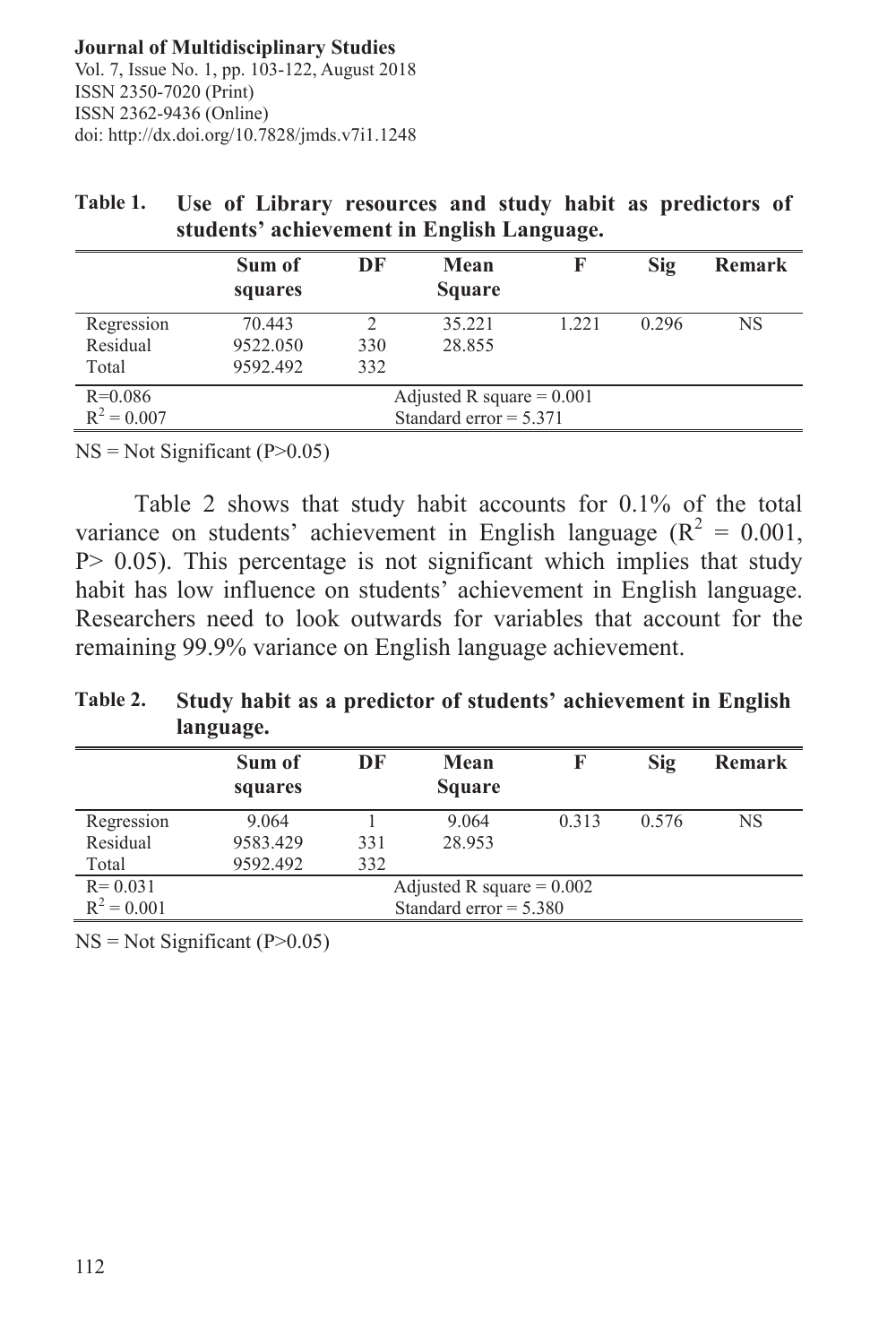|                                 | stuuents achievement in English Language. |            |                                                         |       |       |               |
|---------------------------------|-------------------------------------------|------------|---------------------------------------------------------|-------|-------|---------------|
|                                 | Sum of<br>squares                         | DF         | Mean<br><b>Square</b>                                   |       | Sig   | <b>Remark</b> |
| Regression<br>Residual<br>Total | 70.443<br>9522.050<br>9592.492            | 330<br>332 | 35.221<br>28.855                                        | 1.221 | 0.296 | <b>NS</b>     |
| $R=0.086$<br>$R^2 = 0.007$      |                                           |            | Adjusted R square = $0.001$<br>Standard error $= 5.371$ |       |       |               |

| Table 1. | Use of Library resources and study habit as predictors of |  |  |  |
|----------|-----------------------------------------------------------|--|--|--|
|          | students' achievement in English Language.                |  |  |  |

 $NS = Not Significant (P>0.05)$ 

Table 2 shows that study habit accounts for 0.1% of the total variance on students' achievement in English language ( $R^2 = 0.001$ , P > 0.05). This percentage is not significant which implies that study habit has low influence on students' achievement in English language. Researchers need to look outwards for variables that account for the remaining 99.9% variance on English language achievement.

# **Table 2. Study habit as a predictor of students' achievement in English language.**

|                              | Sum of<br>squares | DF  | Mean<br><b>Square</b>                                   |       | Sig   | <b>Remark</b> |
|------------------------------|-------------------|-----|---------------------------------------------------------|-------|-------|---------------|
| Regression<br>Residual       | 9.064<br>9583.429 | 331 | 9.064<br>28.953                                         | 0.313 | 0.576 | NS            |
| Total                        | 9592.492          | 332 |                                                         |       |       |               |
| $R = 0.031$<br>$R^2 = 0.001$ |                   |     | Adjusted R square = $0.002$<br>Standard error $= 5.380$ |       |       |               |
|                              |                   |     |                                                         |       |       |               |

 $NS = Not Significant (P>0.05)$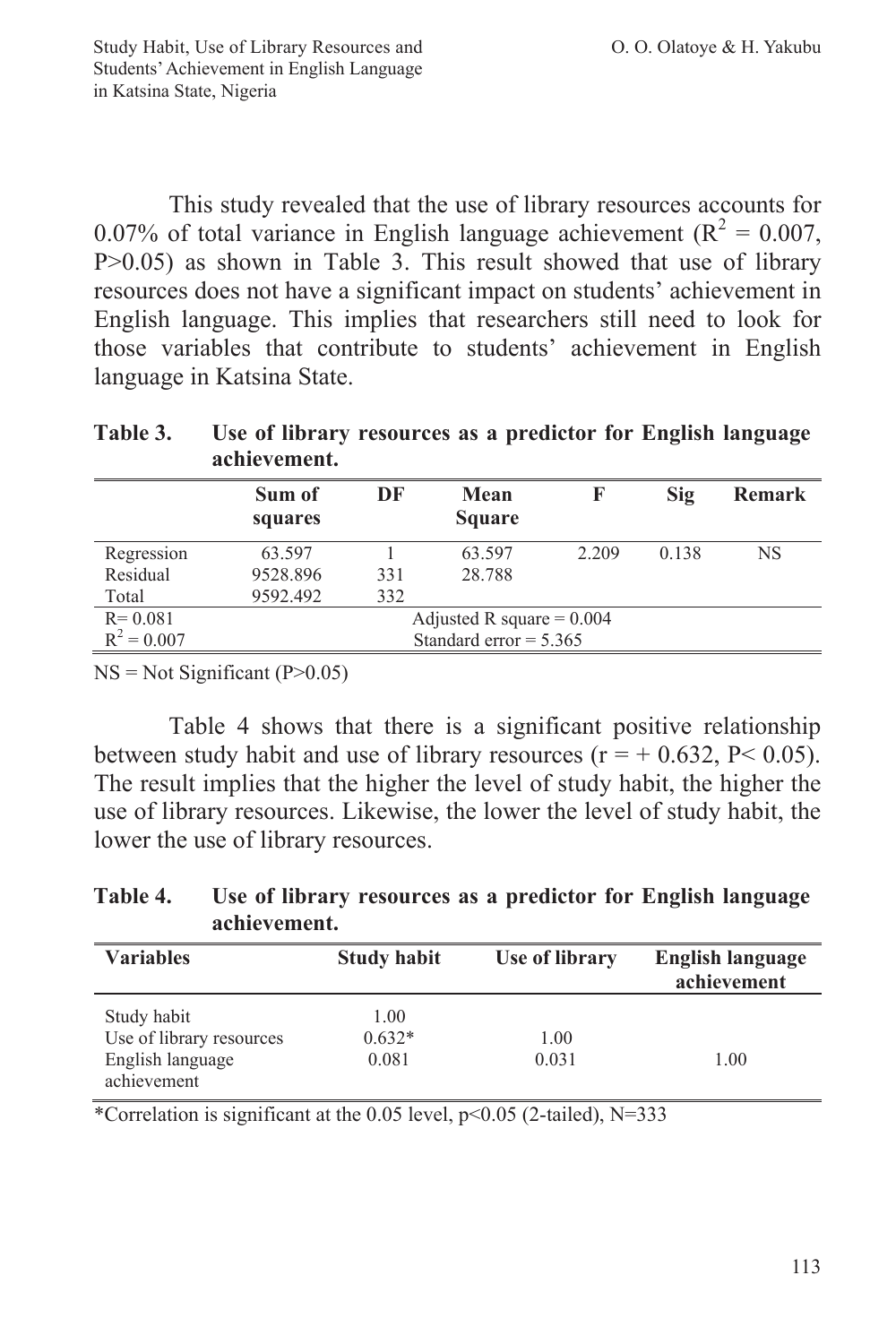This study revealed that the use of library resources accounts for 0.07% of total variance in English language achievement ( $R^2 = 0.007$ , P>0.05) as shown in Table 3. This result showed that use of library resources does not have a significant impact on students' achievement in English language. This implies that researchers still need to look for those variables that contribute to students' achievement in English language in Katsina State.

| * ***** **    | $\cos\theta$ of horm $\frac{1}{2}$ resources as a predictor for English hanguage<br>achievement. |     |                             |       |       |               |
|---------------|--------------------------------------------------------------------------------------------------|-----|-----------------------------|-------|-------|---------------|
|               | Sum of<br>squares                                                                                | DF  | Mean<br><b>Square</b>       | F     | Sig   | <b>Remark</b> |
| Regression    | 63.597                                                                                           |     | 63.597                      | 2.209 | 0.138 | NS            |
| Residual      | 9528.896                                                                                         | 331 | 28.788                      |       |       |               |
| Total         | 9592.492                                                                                         | 332 |                             |       |       |               |
| $R = 0.081$   |                                                                                                  |     | Adjusted R square = $0.004$ |       |       |               |
| $R^2 = 0.007$ |                                                                                                  |     | Standard error $= 5.365$    |       |       |               |

**Table 3. Use of library resources as a predictor for English language** 

 $NS = Not Significant (P>0.05)$ 

Table 4 shows that there is a significant positive relationship between study habit and use of library resources ( $r = +0.632$ ,  $P < 0.05$ ). The result implies that the higher the level of study habit, the higher the use of library resources. Likewise, the lower the level of study habit, the lower the use of library resources.

**Table 4. Use of library resources as a predictor for English language achievement.**

| <b>Variables</b>         | <b>Study habit</b> | Use of library | <b>English language</b><br>achievement |
|--------------------------|--------------------|----------------|----------------------------------------|
| Study habit              | 1.00               |                |                                        |
| Use of library resources | $0.632*$           | 1.00           |                                        |
| English language         | 0.081              | 0.031          | 1.00                                   |
| achievement              |                    |                |                                        |

\*Correlation is significant at the 0.05 level,  $p \le 0.05$  (2-tailed), N=333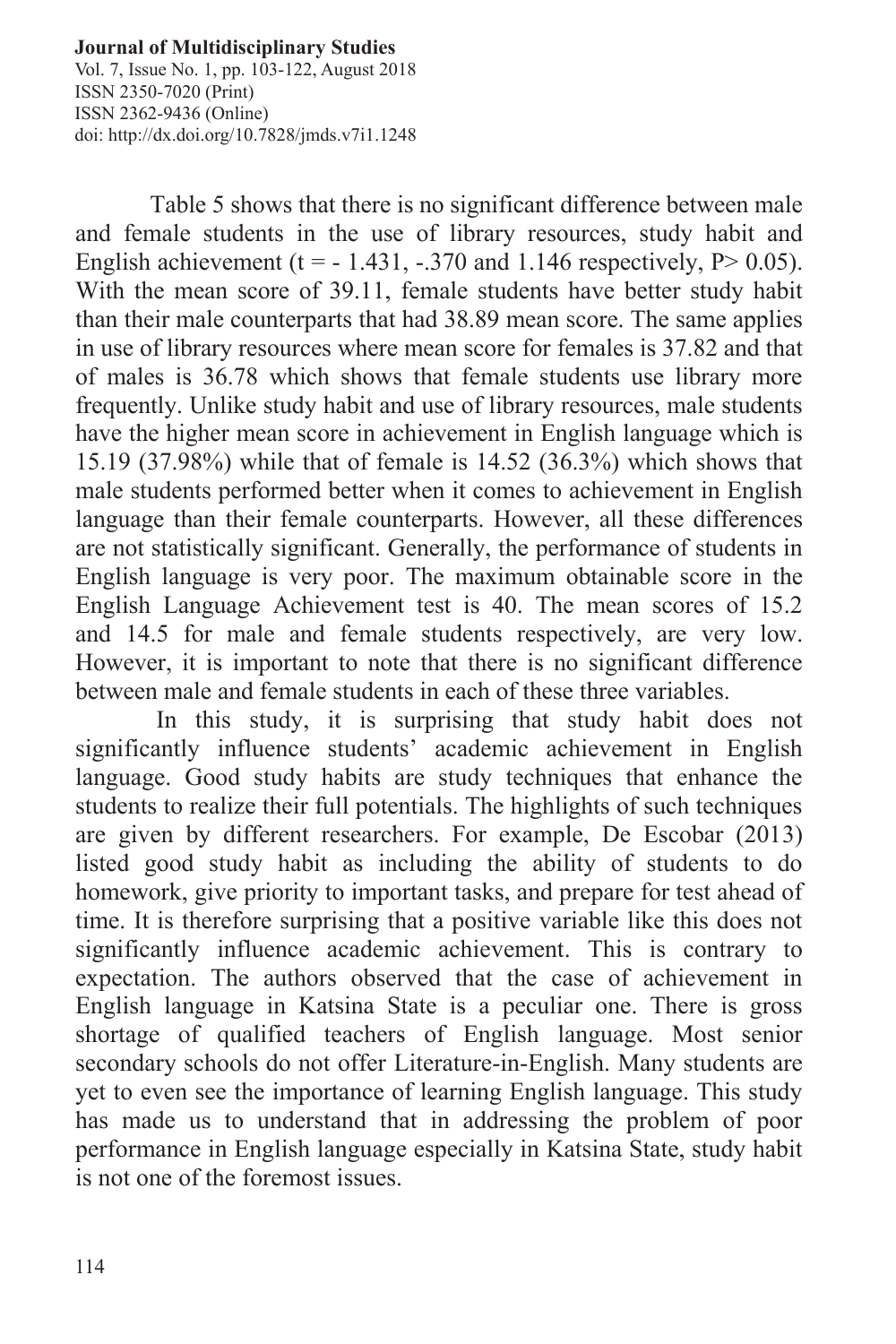Vol. 7, Issue No. 1, pp. 103-122, August 2018 ISSN 2350-7020 (Print) ISSN 2362-9436 (Online) doi: http://dx.doi.org/10.7828/jmds.v7i1.1248

Table 5 shows that there is no significant difference between male and female students in the use of library resources, study habit and English achievement (t =  $-1.431, -370$  and 1.146 respectively, P $> 0.05$ ). With the mean score of 39.11, female students have better study habit than their male counterparts that had 38.89 mean score. The same applies in use of library resources where mean score for females is 37.82 and that of males is 36.78 which shows that female students use library more frequently. Unlike study habit and use of library resources, male students have the higher mean score in achievement in English language which is 15.19 (37.98%) while that of female is 14.52 (36.3%) which shows that male students performed better when it comes to achievement in English language than their female counterparts. However, all these differences are not statistically significant. Generally, the performance of students in English language is very poor. The maximum obtainable score in the English Language Achievement test is 40. The mean scores of 15.2 and 14.5 for male and female students respectively, are very low. However, it is important to note that there is no significant difference between male and female students in each of these three variables.

In this study, it is surprising that study habit does not significantly influence students' academic achievement in English language. Good study habits are study techniques that enhance the students to realize their full potentials. The highlights of such techniques are given by different researchers. For example, De Escobar (2013) listed good study habit as including the ability of students to do homework, give priority to important tasks, and prepare for test ahead of time. It is therefore surprising that a positive variable like this does not significantly influence academic achievement. This is contrary to expectation. The authors observed that the case of achievement in English language in Katsina State is a peculiar one. There is gross shortage of qualified teachers of English language. Most senior secondary schools do not offer Literature-in-English. Many students are yet to even see the importance of learning English language. This study has made us to understand that in addressing the problem of poor performance in English language especially in Katsina State, study habit is not one of the foremost issues.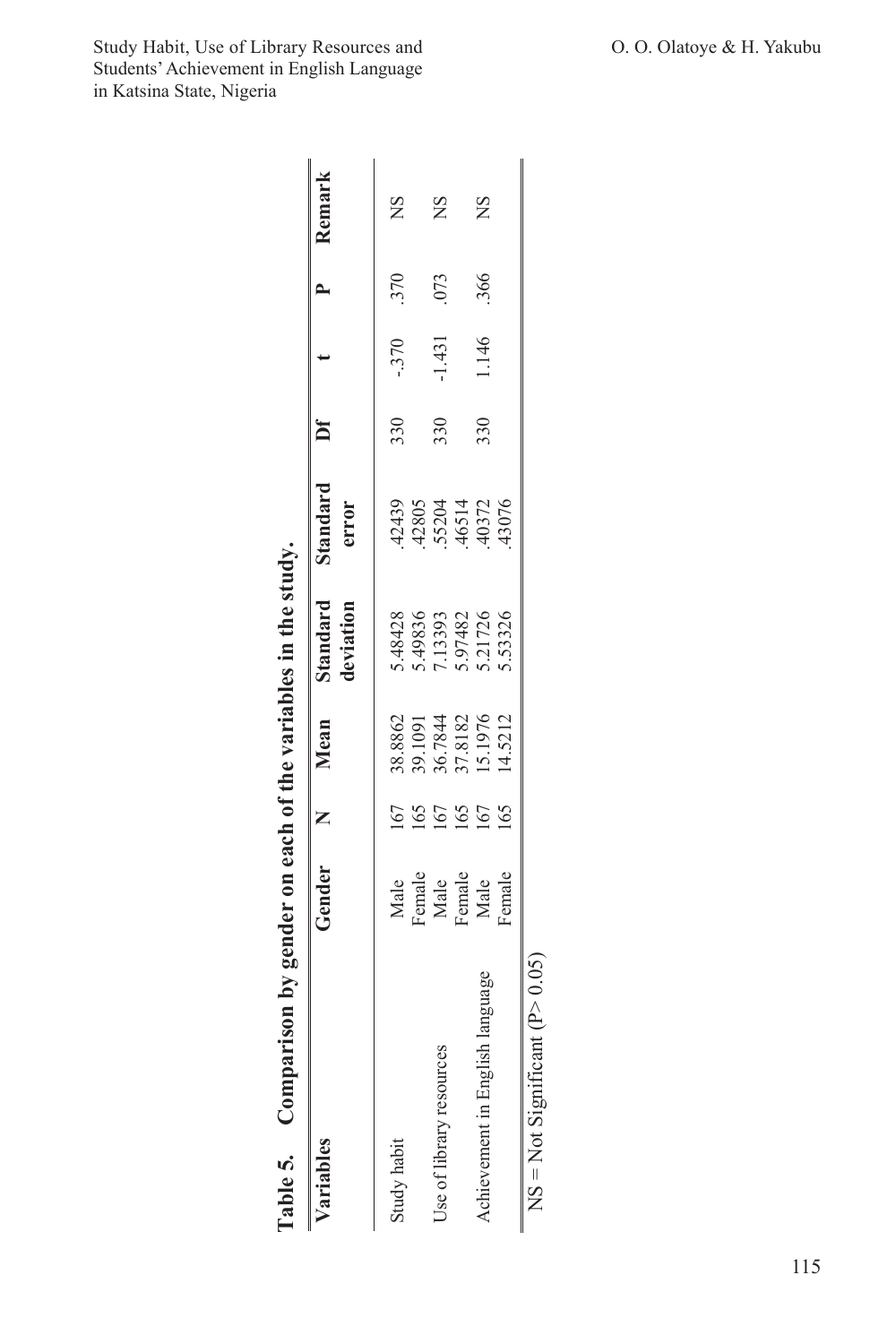| Comparison by gender on each of the variables in the study.<br>Table 5. |                                                  |     |                                                                |                                                     |                                                    |     |        |     |        |
|-------------------------------------------------------------------------|--------------------------------------------------|-----|----------------------------------------------------------------|-----------------------------------------------------|----------------------------------------------------|-----|--------|-----|--------|
| ariables                                                                | Gender                                           |     | Mean                                                           | <b>Standard</b><br>deviation                        | itandard<br>error                                  |     |        |     | Remark |
| Study habit                                                             |                                                  |     |                                                                |                                                     |                                                    | 330 | $-370$ | 370 | ΣN     |
|                                                                         |                                                  |     |                                                                |                                                     |                                                    |     |        |     |        |
| Use of library resources                                                |                                                  |     |                                                                |                                                     |                                                    | 330 | 1.431  | 073 | SN     |
|                                                                         |                                                  |     |                                                                |                                                     |                                                    |     |        |     |        |
| Achievement in English language                                         | Male<br>Female<br>Male<br>Female<br>Male<br>Male |     | 38.8862<br>39.1091<br>36.7844<br>37.8182<br>15.1976<br>14.5212 | 5.48428<br>5.49836<br>5.97482<br>5.97482<br>5.53326 | 42439<br>42805<br>55204<br>45072<br>43076<br>43076 | 330 | 1.146  | 366 | ΧŃ     |
|                                                                         |                                                  | 165 |                                                                |                                                     |                                                    |     |        |     |        |

 $NS = Not$  Significant  $(P> 0.05)$ 

 $NS = Not$  Significant (P  $> 0.05$ )

Study Habit, Use of Library Resources and **Camera Communist Communist Communist Communist Communist Communist Communist Communist Communist Communist Communist Communist Communist Communist Communist Communist Communist Co** Students' Achievement in English Language in Katsina State, Nigeria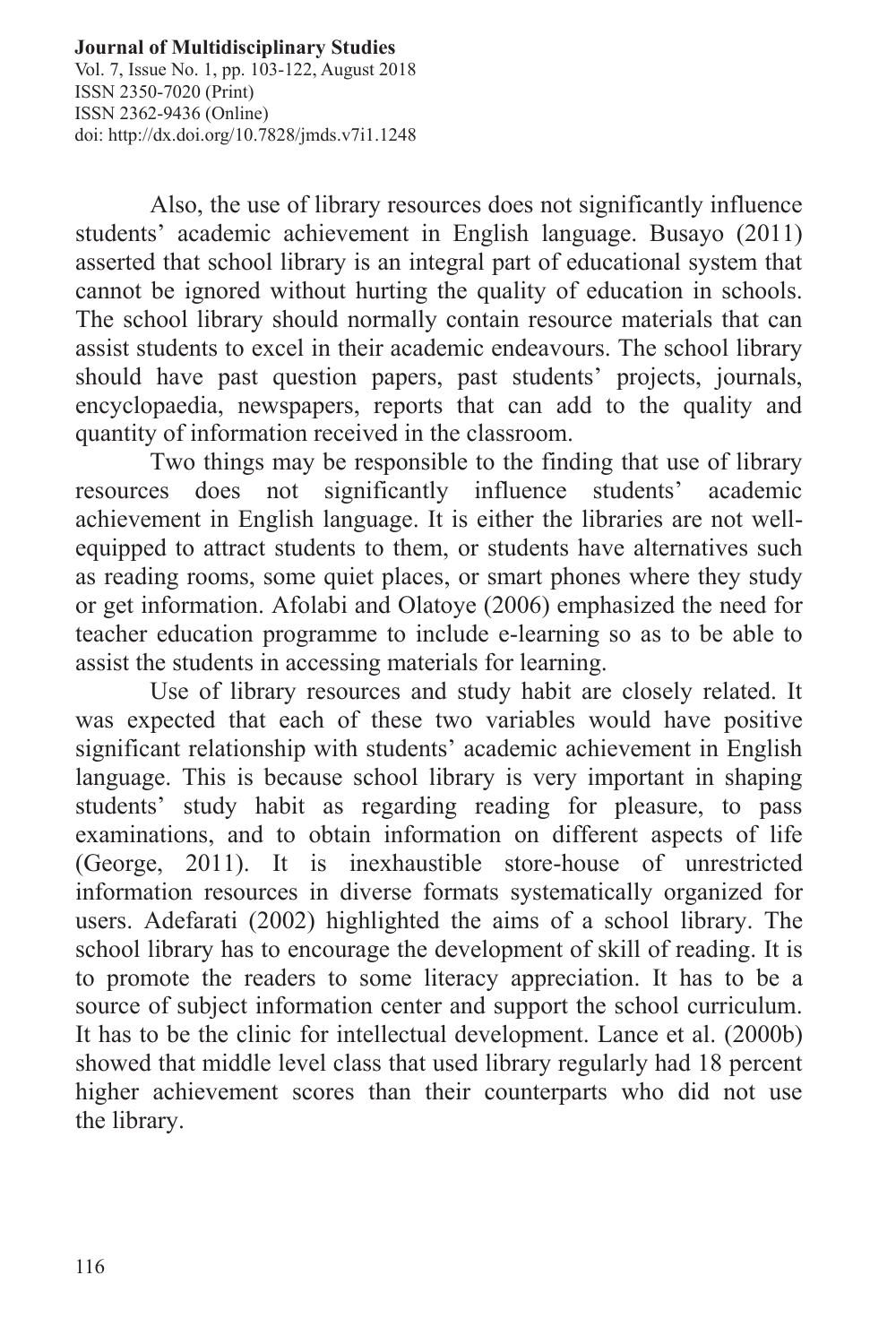Vol. 7, Issue No. 1, pp. 103-122, August 2018 ISSN 2350-7020 (Print) ISSN 2362-9436 (Online) doi: http://dx.doi.org/10.7828/jmds.v7i1.1248

Also, the use of library resources does not significantly influence students' academic achievement in English language. Busayo (2011) asserted that school library is an integral part of educational system that cannot be ignored without hurting the quality of education in schools. The school library should normally contain resource materials that can assist students to excel in their academic endeavours. The school library should have past question papers, past students' projects, journals, encyclopaedia, newspapers, reports that can add to the quality and quantity of information received in the classroom.

Two things may be responsible to the finding that use of library resources does not significantly influence students' academic achievement in English language. It is either the libraries are not wellequipped to attract students to them, or students have alternatives such as reading rooms, some quiet places, or smart phones where they study or get information. Afolabi and Olatoye (2006) emphasized the need for teacher education programme to include e-learning so as to be able to assist the students in accessing materials for learning.

Use of library resources and study habit are closely related. It was expected that each of these two variables would have positive significant relationship with students' academic achievement in English language. This is because school library is very important in shaping students' study habit as regarding reading for pleasure, to pass examinations, and to obtain information on different aspects of life (George, 2011). It is inexhaustible store-house of unrestricted information resources in diverse formats systematically organized for users. Adefarati (2002) highlighted the aims of a school library. The school library has to encourage the development of skill of reading. It is to promote the readers to some literacy appreciation. It has to be a source of subject information center and support the school curriculum. It has to be the clinic for intellectual development. Lance et al. (2000b) showed that middle level class that used library regularly had 18 percent higher achievement scores than their counterparts who did not use the library.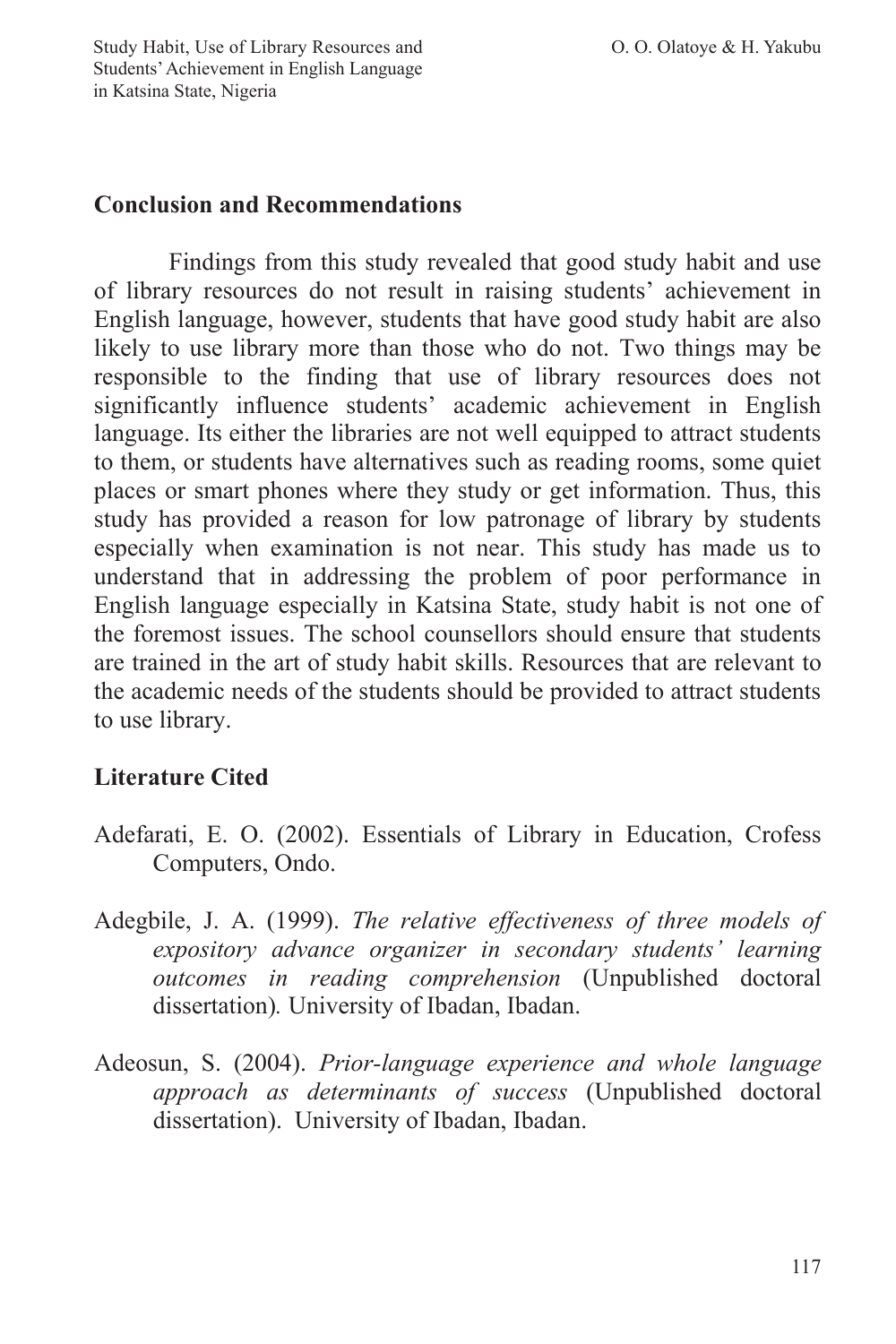Study Habit, Use of Library Resources and **O. O. Olatoye & H. Yakubu** Students' Achievement in English Language in Katsina State, Nigeria

#### **Conclusion and Recommendations**

Findings from this study revealed that good study habit and use of library resources do not result in raising students' achievement in English language, however, students that have good study habit are also likely to use library more than those who do not. Two things may be responsible to the finding that use of library resources does not significantly influence students' academic achievement in English language. Its either the libraries are not well equipped to attract students to them, or students have alternatives such as reading rooms, some quiet places or smart phones where they study or get information. Thus, this study has provided a reason for low patronage of library by students especially when examination is not near. This study has made us to understand that in addressing the problem of poor performance in English language especially in Katsina State, study habit is not one of the foremost issues. The school counsellors should ensure that students are trained in the art of study habit skills. Resources that are relevant to the academic needs of the students should be provided to attract students to use library.

# **Literature Cited**

- Adefarati, E. O. (2002). Essentials of Library in Education, Crofess Computers, Ondo.
- Adegbile, J. A. (1999). *The relative effectiveness of three models of expository advance organizer in secondary students' learning outcomes in reading comprehension* (Unpublished doctoral dissertation)*.* University of Ibadan, Ibadan.
- Adeosun, S. (2004). *Prior-language experience and whole language approach as determinants of success* (Unpublished doctoral dissertation). University of Ibadan, Ibadan.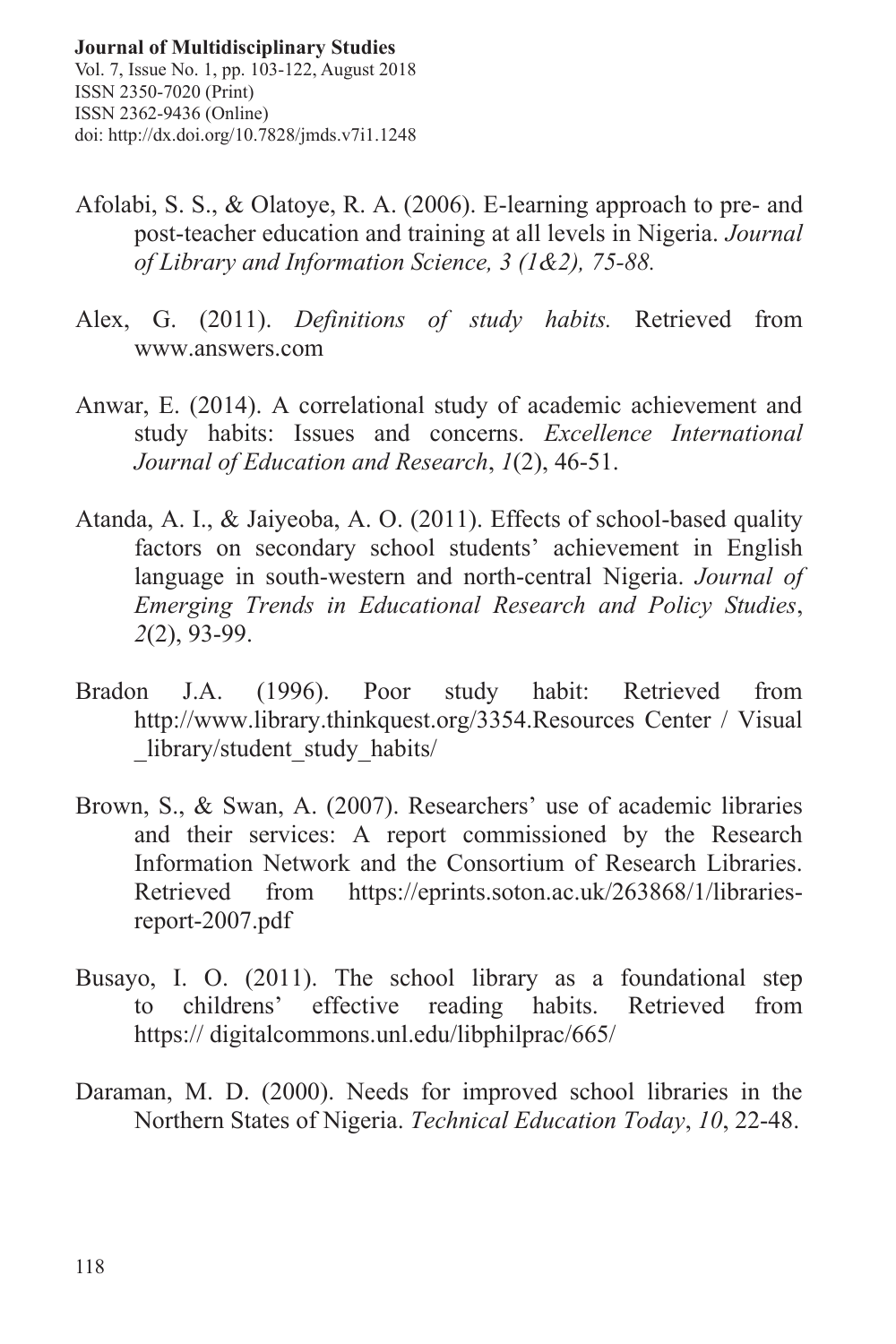- Afolabi, S. S., & Olatoye, R. A. (2006). E-learning approach to pre- and post-teacher education and training at all levels in Nigeria. *Journal of Library and Information Science, 3 (1&2), 75-88.*
- Alex, G. (2011). *Definitions of study habits.* Retrieved from www.answers.com
- Anwar, E. (2014). A correlational study of academic achievement and study habits: Issues and concerns. *Excellence International Journal of Education and Research*, *1*(2), 46-51.
- Atanda, A. I., & Jaiyeoba, A. O. (2011). Effects of school-based quality factors on secondary school students' achievement in English language in south-western and north-central Nigeria. *Journal of Emerging Trends in Educational Research and Policy Studies*, *2*(2), 93-99.
- Bradon J.A. (1996). Poor study habit: Retrieved from http://www.library.thinkquest.org/3354.Resources Center / Visual library/student\_study\_habits/
- Brown, S., & Swan, A. (2007). Researchers' use of academic libraries and their services: A report commissioned by the Research Information Network and the Consortium of Research Libraries. Retrieved from https://eprints.soton.ac.uk/263868/1/librariesreport-2007.pdf
- Busayo, I. O. (2011). The school library as a foundational step to childrens' effective reading habits. Retrieved from https:// digitalcommons.unl.edu/libphilprac/665/
- Daraman, M. D. (2000). Needs for improved school libraries in the Northern States of Nigeria. *Technical Education Today*, *10*, 22-48.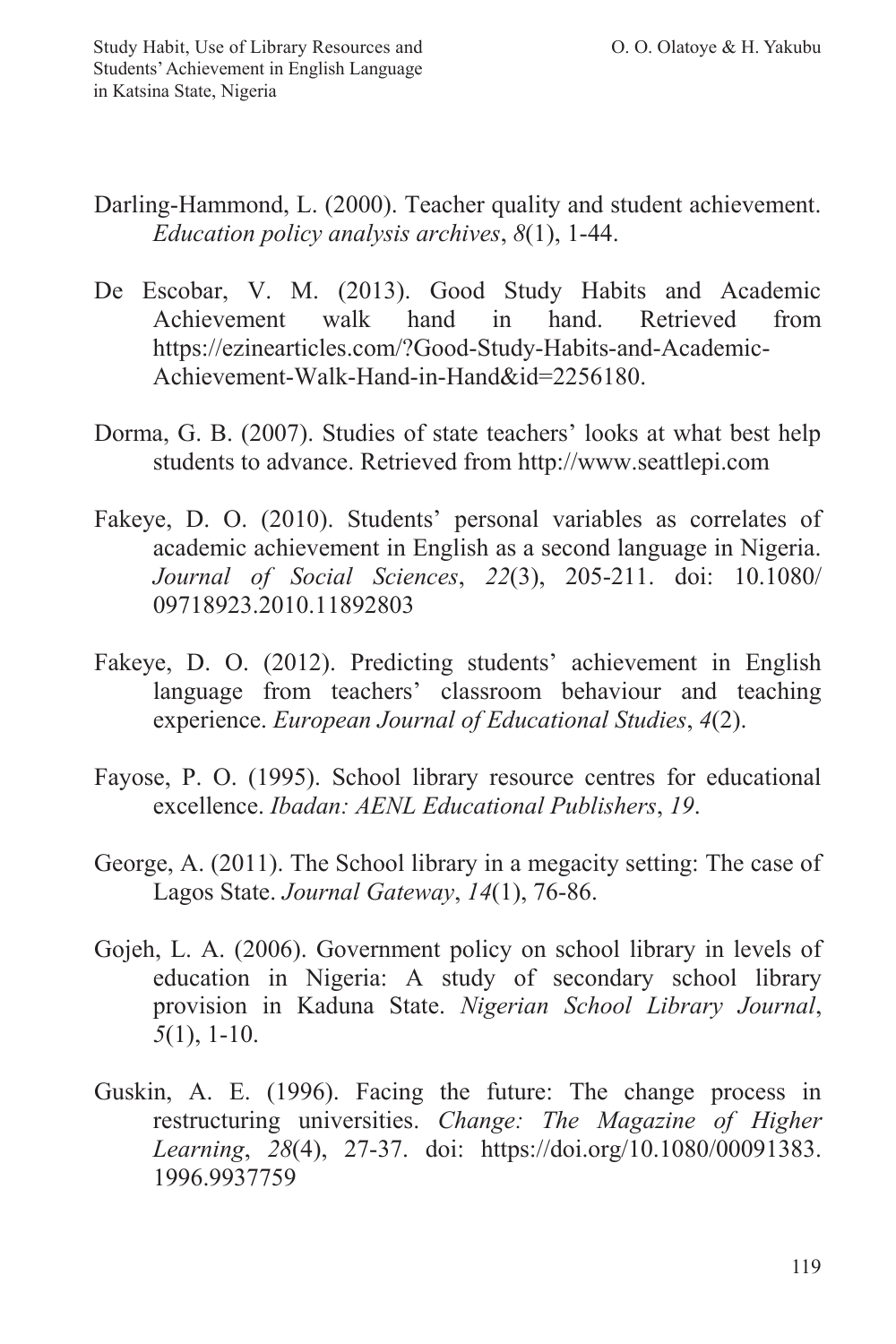- Darling-Hammond, L. (2000). Teacher quality and student achievement. *Education policy analysis archives*, *8*(1), 1-44.
- De Escobar, V. M. (2013). Good Study Habits and Academic Achievement walk hand in hand. Retrieved from https://ezinearticles.com/?Good-Study-Habits-and-Academic-Achievement-Walk-Hand-in-Hand&id=2256180.
- Dorma, G. B. (2007). Studies of state teachers' looks at what best help students to advance. Retrieved from http://www.seattlepi.com
- Fakeye, D. O. (2010). Students' personal variables as correlates of academic achievement in English as a second language in Nigeria. *Journal of Social Sciences*, *22*(3), 205-211. doi: 10.1080/ 09718923.2010.11892803
- Fakeye, D. O. (2012). Predicting students' achievement in English language from teachers' classroom behaviour and teaching experience. *European Journal of Educational Studies*, *4*(2).
- Fayose, P. O. (1995). School library resource centres for educational excellence. *Ibadan: AENL Educational Publishers*, *19*.
- George, A. (2011). The School library in a megacity setting: The case of Lagos State. *Journal Gateway*, *14*(1), 76-86.
- Gojeh, L. A. (2006). Government policy on school library in levels of education in Nigeria: A study of secondary school library provision in Kaduna State. *Nigerian School Library Journal*, *5*(1), 1-10.
- Guskin, A. E. (1996). Facing the future: The change process in restructuring universities. *Change: The Magazine of Higher Learning*, *28*(4), 27-37. doi: https://doi.org/10.1080/00091383. 1996.9937759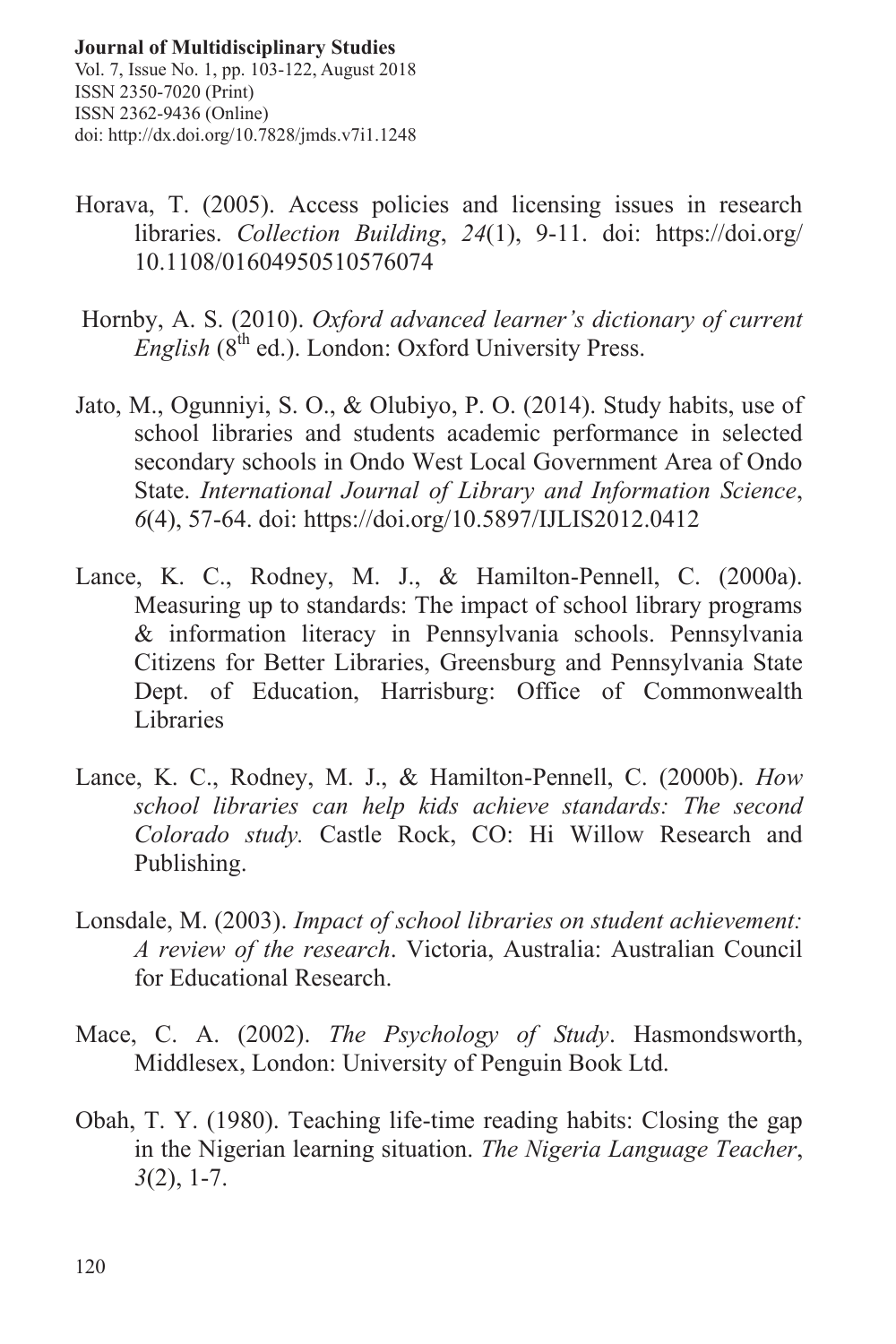Vol. 7, Issue No. 1, pp. 103-122, August 2018 ISSN 2350-7020 (Print) ISSN 2362-9436 (Online) doi: http://dx.doi.org/10.7828/jmds.v7i1.1248

- Horava, T. (2005). Access policies and licensing issues in research libraries. *Collection Building*, *24*(1), 9-11. doi: https://doi.org/ 10.1108/01604950510576074
- Hornby, A. S. (2010). *Oxford advanced learner's dictionary of current English* (8<sup>th</sup> ed.). London: Oxford University Press.
- Jato, M., Ogunniyi, S. O., & Olubiyo, P. O. (2014). Study habits, use of school libraries and students academic performance in selected secondary schools in Ondo West Local Government Area of Ondo State. *International Journal of Library and Information Science*, *6*(4), 57-64. doi: https://doi.org/10.5897/IJLIS2012.0412
- Lance, K. C., Rodney, M. J., & Hamilton-Pennell, C. (2000a). Measuring up to standards: The impact of school library programs & information literacy in Pennsylvania schools. Pennsylvania Citizens for Better Libraries, Greensburg and Pennsylvania State Dept. of Education, Harrisburg: Office of Commonwealth Libraries
- Lance, K. C., Rodney, M. J., & Hamilton-Pennell, C. (2000b). *How school libraries can help kids achieve standards: The second Colorado study.* Castle Rock, CO: Hi Willow Research and Publishing.
- Lonsdale, M. (2003). *Impact of school libraries on student achievement: A review of the research*. Victoria, Australia: Australian Council for Educational Research.
- Mace, C. A. (2002). *The Psychology of Study*. Hasmondsworth, Middlesex, London: University of Penguin Book Ltd.
- Obah, T. Y. (1980). Teaching life-time reading habits: Closing the gap in the Nigerian learning situation. *The Nigeria Language Teacher*, *3*(2), 1-7.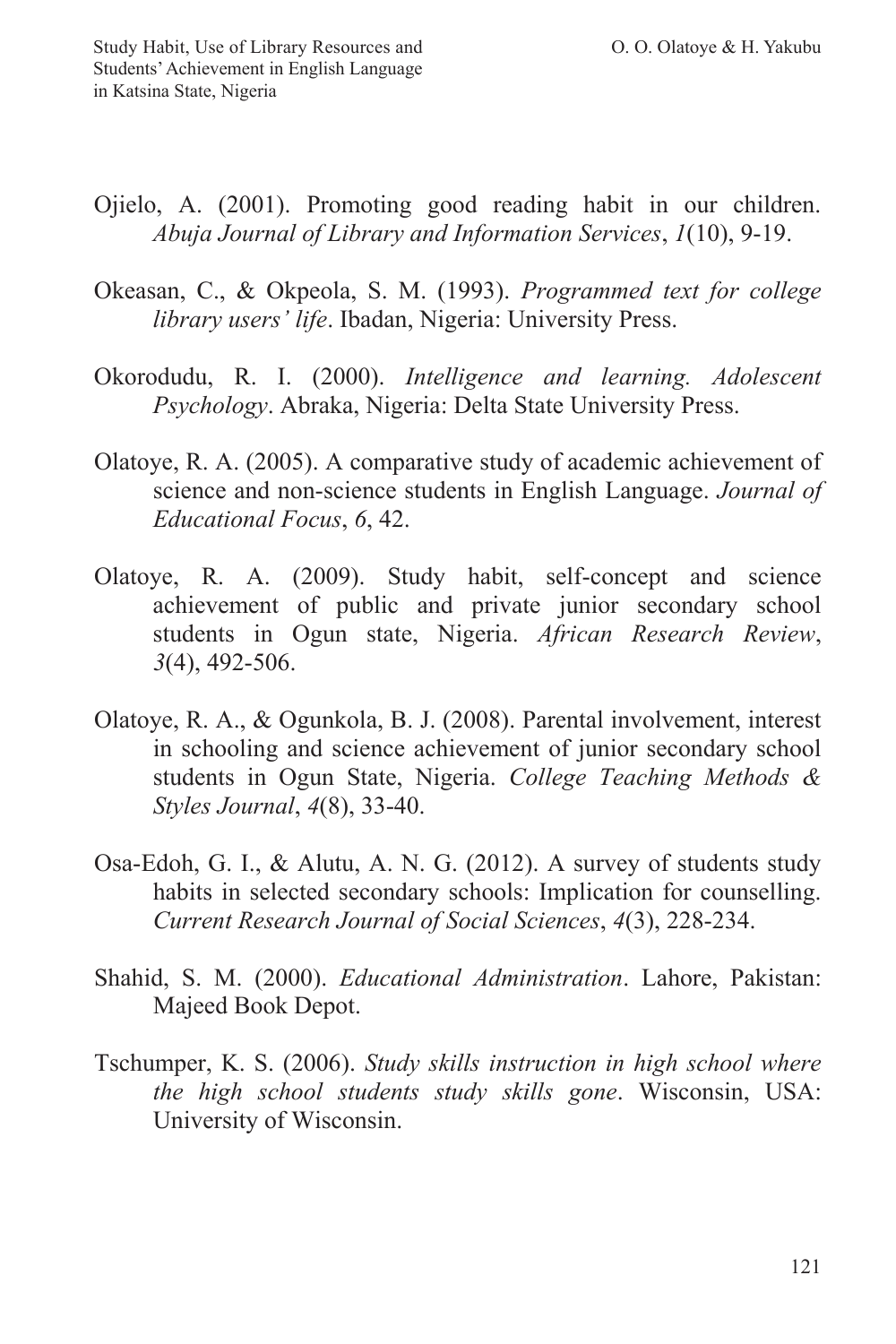- Ojielo, A. (2001). Promoting good reading habit in our children. *Abuja Journal of Library and Information Services*, *1*(10), 9-19.
- Okeasan, C., & Okpeola, S. M. (1993). *Programmed text for college library users' life*. Ibadan, Nigeria: University Press.
- Okorodudu, R. I. (2000). *Intelligence and learning. Adolescent Psychology*. Abraka, Nigeria: Delta State University Press.
- Olatoye, R. A. (2005). A comparative study of academic achievement of science and non-science students in English Language. *Journal of Educational Focus*, *6*, 42.
- Olatoye, R. A. (2009). Study habit, self-concept and science achievement of public and private junior secondary school students in Ogun state, Nigeria. *African Research Review*, *3*(4), 492-506.
- Olatoye, R. A., & Ogunkola, B. J. (2008). Parental involvement, interest in schooling and science achievement of junior secondary school students in Ogun State, Nigeria. *College Teaching Methods & Styles Journal*, *4*(8), 33-40.
- Osa-Edoh, G. I., & Alutu, A. N. G. (2012). A survey of students study habits in selected secondary schools: Implication for counselling. *Current Research Journal of Social Sciences*, *4*(3), 228-234.
- Shahid, S. M. (2000). *Educational Administration*. Lahore, Pakistan: Majeed Book Depot.
- Tschumper, K. S. (2006). *Study skills instruction in high school where the high school students study skills gone*. Wisconsin, USA: University of Wisconsin.